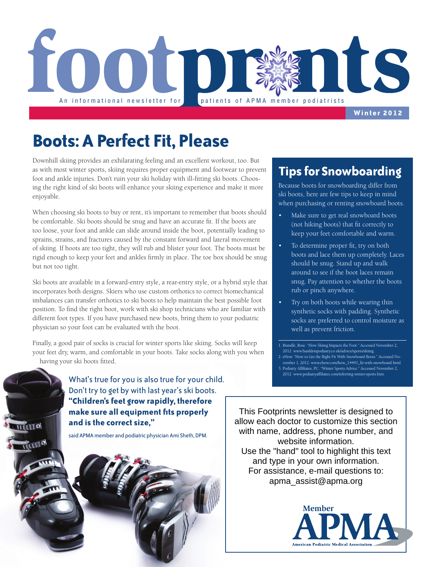

**Winter 2012**

## **Boots: A Perfect Fit, Please**

Downhill skiing provides an exhilarating feeling and an excellent workout, too. But as with most winter sports, skiing requires proper equipment and footwear to prevent foot and ankle injuries. Don't ruin your ski holiday with ill-fitting ski boots. Choosing the right kind of ski boots will enhance your skiing experience and make it more enjoyable.

When choosing ski boots to buy or rent, it's important to remember that boots should be comfortable. Ski boots should be snug and have an accurate fit. If the boots are too loose, your foot and ankle can slide around inside the boot, potentially leading to sprains, strains, and fractures caused by the constant forward and lateral movement of skiing. If boots are too tight, they will rub and blister your foot. The boots must be rigid enough to keep your feet and ankles firmly in place. The toe box should be snug but not too tight.

Ski boots are available in a forward-entry style, a rear-entry style, or a hybrid style that incorporates both designs. Skiers who use custom orthotics to correct biomechanical imbalances can transfer orthotics to ski boots to help maintain the best possible foot position. To find the right boot, work with ski shop technicians who are familiar with different foot types. If you have purchased new boots, bring them to your podiatric physician so your foot can be evaluated with the boot.

Finally, a good pair of socks is crucial for winter sports like skiing. Socks will keep your feet dry, warm, and comfortable in your boots. Take socks along with you when having your ski boots fitted.

> What's true for you is also true for your child. Don't try to get by with last year's ski boots. **"Children's feet grow rapidly, therefore make sure all equipment fits properly and is the correct size,"**

said APMA member and podiatric physician Ami Sheth, DPM.

**IMO** 

### **Tips for Snowboarding**

Because boots for snowboarding differ from ski boots, here are few tips to keep in mind when purchasing or renting snowboard boots.

- Make sure to get real snowboard boots (not hiking boots) that fit correctly to keep your feet comfortable and warm.
- To determine proper fit, try on both boots and lace them up completely. Laces should be snug. Stand up and walk around to see if the boot laces remain snug. Pay attention to whether the boots rub or pinch anywhere.
- Try on both boots while wearing thin synthetic socks with padding. Synthetic socks are preferred to control moisture as well as prevent friction.

1. Brandle, Rose. "How Skiing Impacts the Foot." Accessed November 2, 2012. www.basildonpodiatry.co.uk/advice/sports/skiing.

- 2. eHow. "How to Get the Right Fit With Snowboard Boots." Accessed November 1, 2012. www.ehow.com/how\_14491\_fit-with-snowboard.html.
- 3. Podiatry Affiliates, PC. "Winter Sports Advice." Accessed November 2, 2012. www.podiatryaffiliates.com/referring-winter-sports.htm.

This Footprints newsletter is designed to allow each doctor to customize this section with name, address, phone number, and website information. Use the "hand" tool to highlight this text and type in your own information. For assistance, e-mail questions to: apma\_assist@apma.org